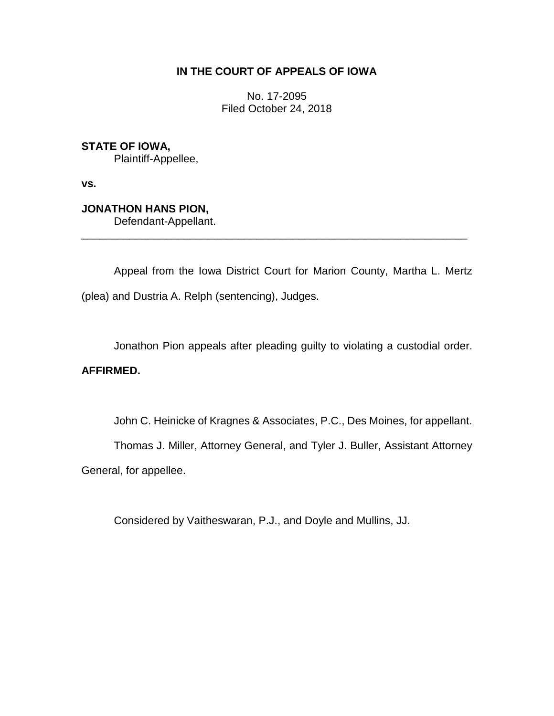## **IN THE COURT OF APPEALS OF IOWA**

No. 17-2095 Filed October 24, 2018

**STATE OF IOWA,** Plaintiff-Appellee,

**vs.**

**JONATHON HANS PION,**

Defendant-Appellant.

Appeal from the Iowa District Court for Marion County, Martha L. Mertz (plea) and Dustria A. Relph (sentencing), Judges.

\_\_\_\_\_\_\_\_\_\_\_\_\_\_\_\_\_\_\_\_\_\_\_\_\_\_\_\_\_\_\_\_\_\_\_\_\_\_\_\_\_\_\_\_\_\_\_\_\_\_\_\_\_\_\_\_\_\_\_\_\_\_\_\_

Jonathon Pion appeals after pleading guilty to violating a custodial order.

## **AFFIRMED.**

John C. Heinicke of Kragnes & Associates, P.C., Des Moines, for appellant.

Thomas J. Miller, Attorney General, and Tyler J. Buller, Assistant Attorney

General, for appellee.

Considered by Vaitheswaran, P.J., and Doyle and Mullins, JJ.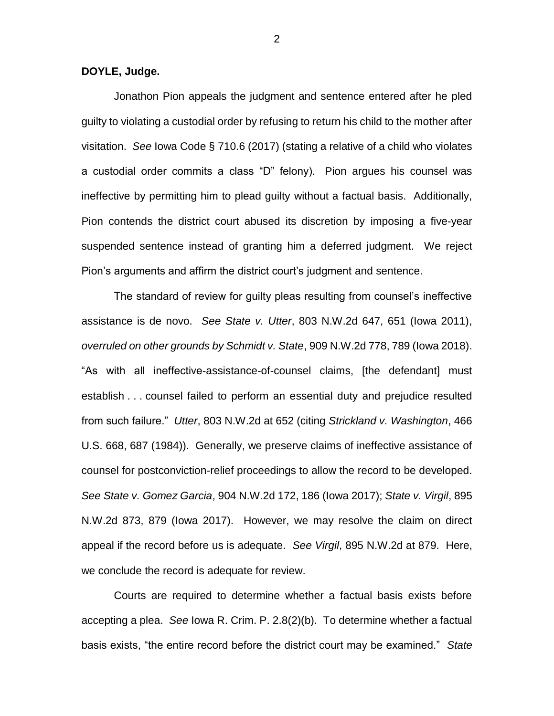**DOYLE, Judge.**

Jonathon Pion appeals the judgment and sentence entered after he pled guilty to violating a custodial order by refusing to return his child to the mother after visitation. *See* Iowa Code § 710.6 (2017) (stating a relative of a child who violates a custodial order commits a class "D" felony). Pion argues his counsel was ineffective by permitting him to plead guilty without a factual basis. Additionally, Pion contends the district court abused its discretion by imposing a five-year suspended sentence instead of granting him a deferred judgment. We reject Pion's arguments and affirm the district court's judgment and sentence.

The standard of review for guilty pleas resulting from counsel's ineffective assistance is de novo. *See State v. Utter*, 803 N.W.2d 647, 651 (Iowa 2011), *overruled on other grounds by Schmidt v. State*, 909 N.W.2d 778, 789 (Iowa 2018). "As with all ineffective-assistance-of-counsel claims, [the defendant] must establish . . . counsel failed to perform an essential duty and prejudice resulted from such failure." *Utter*, 803 N.W.2d at 652 (citing *Strickland v. Washington*, 466 U.S. 668, 687 (1984)). Generally, we preserve claims of ineffective assistance of counsel for postconviction-relief proceedings to allow the record to be developed. *See State v. Gomez Garcia*, 904 N.W.2d 172, 186 (Iowa 2017); *State v. Virgil*, 895 N.W.2d 873, 879 (Iowa 2017). However, we may resolve the claim on direct appeal if the record before us is adequate. *See Virgil*, 895 N.W.2d at 879. Here, we conclude the record is adequate for review.

Courts are required to determine whether a factual basis exists before accepting a plea. *See* Iowa R. Crim. P. 2.8(2)(b). To determine whether a factual basis exists, "the entire record before the district court may be examined." *State*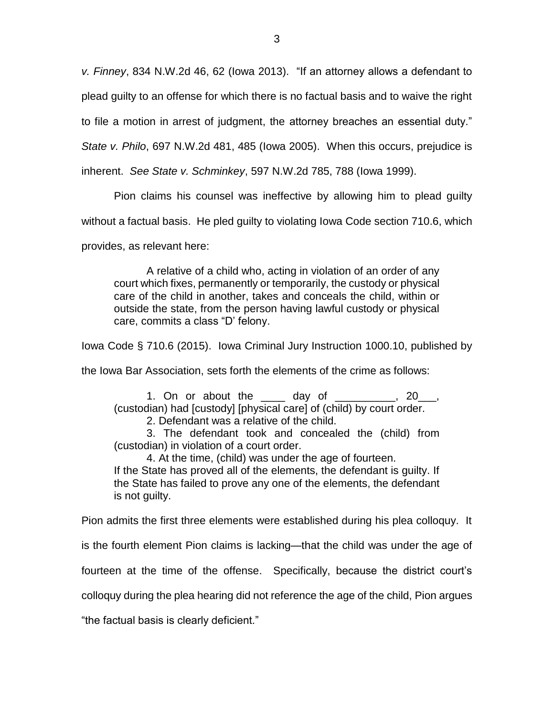*v. Finney*, 834 N.W.2d 46, 62 (Iowa 2013). "If an attorney allows a defendant to plead guilty to an offense for which there is no factual basis and to waive the right

to file a motion in arrest of judgment, the attorney breaches an essential duty."

*State v. Philo*, 697 N.W.2d 481, 485 (Iowa 2005). When this occurs, prejudice is

inherent. *See State v. Schminkey*, 597 N.W.2d 785, 788 (Iowa 1999).

Pion claims his counsel was ineffective by allowing him to plead guilty

without a factual basis. He pled guilty to violating Iowa Code section 710.6, which

provides, as relevant here:

A relative of a child who, acting in violation of an order of any court which fixes, permanently or temporarily, the custody or physical care of the child in another, takes and conceals the child, within or outside the state, from the person having lawful custody or physical care, commits a class "D' felony.

Iowa Code § 710.6 (2015). Iowa Criminal Jury Instruction 1000.10, published by

the Iowa Bar Association, sets forth the elements of the crime as follows:

1. On or about the \_\_\_\_ day of \_\_\_\_\_\_\_\_\_\_, 20\_\_\_, (custodian) had [custody] [physical care] of (child) by court order.

2. Defendant was a relative of the child.

3. The defendant took and concealed the (child) from (custodian) in violation of a court order.

4. At the time, (child) was under the age of fourteen. If the State has proved all of the elements, the defendant is guilty. If the State has failed to prove any one of the elements, the defendant is not guilty.

Pion admits the first three elements were established during his plea colloquy. It

is the fourth element Pion claims is lacking—that the child was under the age of

fourteen at the time of the offense. Specifically, because the district court's

colloquy during the plea hearing did not reference the age of the child, Pion argues

"the factual basis is clearly deficient."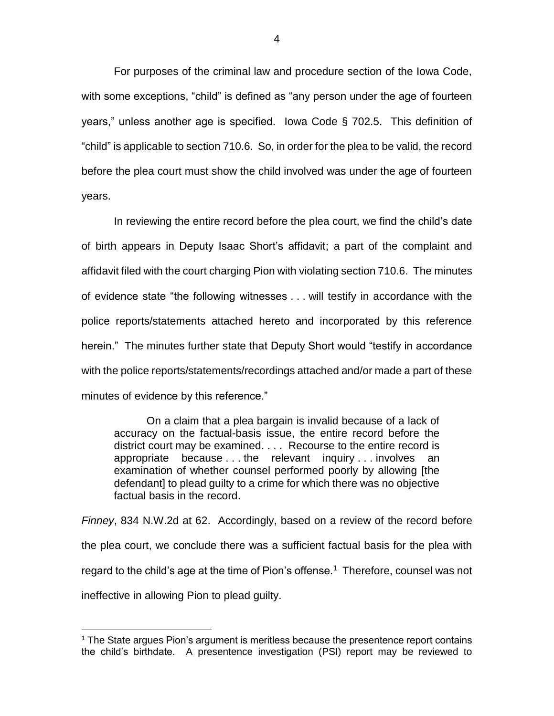For purposes of the criminal law and procedure section of the Iowa Code, with some exceptions, "child" is defined as "any person under the age of fourteen years," unless another age is specified. Iowa Code § 702.5. This definition of "child" is applicable to section 710.6. So, in order for the plea to be valid, the record before the plea court must show the child involved was under the age of fourteen years.

In reviewing the entire record before the plea court, we find the child's date of birth appears in Deputy Isaac Short's affidavit; a part of the complaint and affidavit filed with the court charging Pion with violating section 710.6. The minutes of evidence state "the following witnesses . . . will testify in accordance with the police reports/statements attached hereto and incorporated by this reference herein." The minutes further state that Deputy Short would "testify in accordance with the police reports/statements/recordings attached and/or made a part of these minutes of evidence by this reference."

On a claim that a plea bargain is invalid because of a lack of accuracy on the factual-basis issue, the entire record before the district court may be examined. . . . Recourse to the entire record is appropriate because . . . the relevant inquiry . . . involves an examination of whether counsel performed poorly by allowing [the defendant] to plead guilty to a crime for which there was no objective factual basis in the record.

*Finney*, 834 N.W.2d at 62. Accordingly, based on a review of the record before the plea court, we conclude there was a sufficient factual basis for the plea with regard to the child's age at the time of Pion's offense.<sup>1</sup> Therefore, counsel was not ineffective in allowing Pion to plead guilty.

 $\overline{a}$ 

<sup>&</sup>lt;sup>1</sup> The State argues Pion's argument is meritless because the presentence report contains the child's birthdate. A presentence investigation (PSI) report may be reviewed to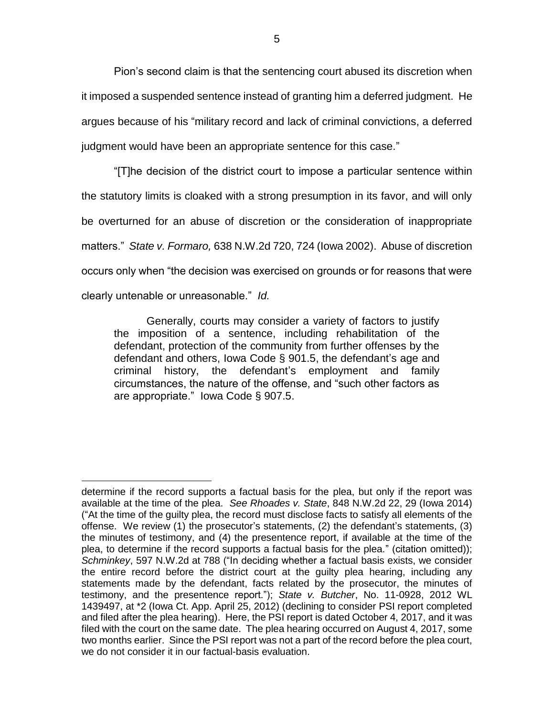Pion's second claim is that the sentencing court abused its discretion when it imposed a suspended sentence instead of granting him a deferred judgment. He argues because of his "military record and lack of criminal convictions, a deferred judgment would have been an appropriate sentence for this case."

"[T]he decision of the district court to impose a particular sentence within the statutory limits is cloaked with a strong presumption in its favor, and will only be overturned for an abuse of discretion or the consideration of inappropriate matters." *State v. Formaro,* 638 N.W.2d 720, 724 (Iowa 2002). Abuse of discretion occurs only when "the decision was exercised on grounds or for reasons that were clearly untenable or unreasonable." *Id.*

Generally, courts may consider a variety of factors to justify the imposition of a sentence, including rehabilitation of the defendant, protection of the community from further offenses by the defendant and others, Iowa Code § 901.5, the defendant's age and criminal history, the defendant's employment and family circumstances, the nature of the offense, and "such other factors as are appropriate." Iowa Code § 907.5.

 $\overline{a}$ determine if the record supports a factual basis for the plea, but only if the report was available at the time of the plea. *See Rhoades v. State*, 848 N.W.2d 22, 29 (Iowa 2014) ("At the time of the guilty plea, the record must disclose facts to satisfy all elements of the offense. We review (1) the prosecutor's statements, (2) the defendant's statements, (3) the minutes of testimony, and (4) the presentence report, if available at the time of the plea, to determine if the record supports a factual basis for the plea." (citation omitted)); *Schminkey*, 597 N.W.2d at 788 ("In deciding whether a factual basis exists, we consider the entire record before the district court at the guilty plea hearing, including any statements made by the defendant, facts related by the prosecutor, the minutes of testimony, and the presentence report."); *State v. Butcher*, No. 11-0928, 2012 WL 1439497, at \*2 (Iowa Ct. App. April 25, 2012) (declining to consider PSI report completed and filed after the plea hearing). Here, the PSI report is dated October 4, 2017, and it was filed with the court on the same date. The plea hearing occurred on August 4, 2017, some two months earlier. Since the PSI report was not a part of the record before the plea court, we do not consider it in our factual-basis evaluation.